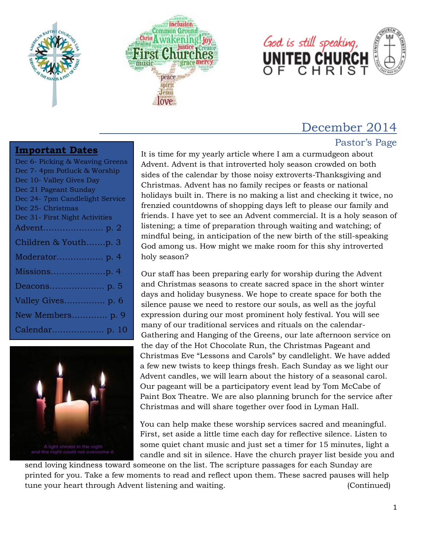





# December 2014

# Pastor's Page

#### **Important Dates**

| Dec 6- Picking & Weaving Greens |
|---------------------------------|
| Dec 7-4pm Potluck & Worship     |
| Dec 10- Valley Gives Day        |
| Dec 21 Pageant Sunday           |
| Dec 24- 7pm Candlelight Service |
| Dec 25- Christmas               |
| Dec 31- First Night Activities  |
|                                 |
| Children & Youthp. 3            |
|                                 |
|                                 |
|                                 |
| Valley Gives p. 6               |
| New Members p. 9                |
|                                 |



It is time for my yearly article where I am a curmudgeon about Advent. Advent is that introverted holy season crowded on both sides of the calendar by those noisy extroverts-Thanksgiving and Christmas. Advent has no family recipes or feasts or national holidays built in. There is no making a list and checking it twice, no frenzied countdowns of shopping days left to please our family and friends. I have yet to see an Advent commercial. It is a holy season of listening; a time of preparation through waiting and watching; of mindful being, in anticipation of the new birth of the still-speaking God among us. How might we make room for this shy introverted holy season?

Our staff has been preparing early for worship during the Advent and Christmas seasons to create sacred space in the short winter days and holiday busyness. We hope to create space for both the silence pause we need to restore our souls, as well as the joyful expression during our most prominent holy festival. You will see many of our traditional services and rituals on the calendar-Gathering and Hanging of the Greens, our late afternoon service on the day of the Hot Chocolate Run, the Christmas Pageant and Christmas Eve "Lessons and Carols" by candlelight. We have added a few new twists to keep things fresh. Each Sunday as we light our Advent candles, we will learn about the history of a seasonal carol. Our pageant will be a participatory event lead by Tom McCabe of Paint Box Theatre. We are also planning brunch for the service after Christmas and will share together over food in Lyman Hall.

You can help make these worship services sacred and meaningful. First, set aside a little time each day for reflective silence. Listen to some quiet chant music and just set a timer for 15 minutes, light a candle and sit in silence. Have the church prayer list beside you and

send loving kindness toward someone on the list. The scripture passages for each Sunday are printed for you. Take a few moments to read and reflect upon them. These sacred pauses will help tune your heart through Advent listening and waiting. (Continued)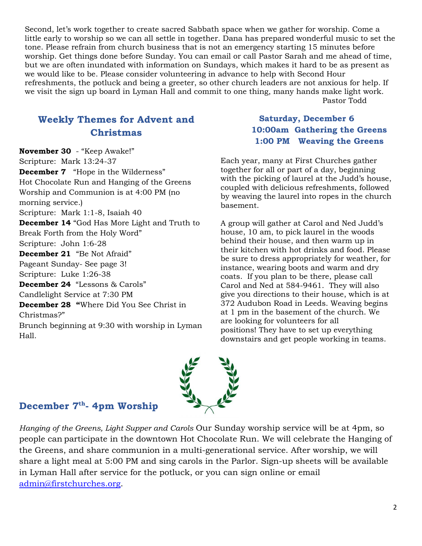Second, let's work together to create sacred Sabbath space when we gather for worship. Come a little early to worship so we can all settle in together. Dana has prepared wonderful music to set the tone. Please refrain from church business that is not an emergency starting 15 minutes before worship. Get things done before Sunday. You can email or call Pastor Sarah and me ahead of time, but we are often inundated with information on Sundays, which makes it hard to be as present as we would like to be. Please consider volunteering in advance to help with Second Hour refreshments, the potluck and being a greeter, so other church leaders are not anxious for help. If we visit the sign up board in Lyman Hall and commit to one thing, many hands make light work.

Pastor Todd

# **Weekly Themes for Advent and Christmas**

**November 30** - "Keep Awake!" Scripture: Mark 13:24-37 **December 7** "Hope in the Wilderness" Hot Chocolate Run and Hanging of the Greens Worship and Communion is at 4:00 PM (no morning service.) Scripture: Mark 1:1-8, Isaiah 40 **December 14** "God Has More Light and Truth to Break Forth from the Holy Word" Scripture: John 1:6-28 **December 21** "Be Not Afraid" Pageant Sunday- See page 3! Scripture: Luke 1:26-38 **December 24** "Lessons & Carols" Candlelight Service at 7:30 PM **December 28 "**Where Did You See Christ in Christmas?" Brunch beginning at 9:30 with worship in Lyman Hall.

## **Saturday, December 6 10:00am Gathering the Greens 1:00 PM Weaving the Greens**

Each year, many at First Churches gather together for all or part of a day, beginning with the picking of laurel at the Judd's house, coupled with delicious refreshments, followed by weaving the laurel into ropes in the church basement.

A group will gather at Carol and Ned Judd's house, 10 am, to pick laurel in the woods behind their house, and then warm up in their kitchen with hot drinks and food. Please be sure to dress appropriately for weather, for instance, wearing boots and warm and dry coats. If you plan to be there, please call Carol and Ned at 584-9461. They will also give you directions to their house, which is at 372 Audubon Road in Leeds. Weaving begins at 1 pm in the basement of the church. We are looking for volunteers for all positions! They have to set up everything downstairs and get people working in teams.



## **December 7th - 4pm Worship**

*Hanging of the Greens, Light Supper and Carols* Our Sunday worship service will be at 4pm, so people can participate in the downtown Hot Chocolate Run. We will celebrate the Hanging of the Greens, and share communion in a multi-generational service. After worship, we will share a light meal at 5:00 PM and sing carols in the Parlor. Sign-up sheets will be available in Lyman Hall after service for the potluck, or you can sign online or email [admin@firstchurches.org.](mailto:admin@firstchurches.org)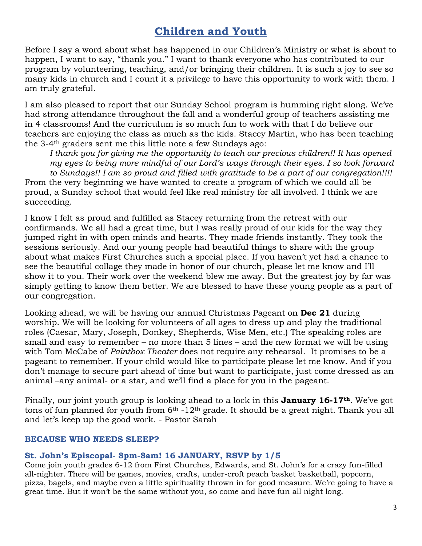# **Children and Youth**

Before I say a word about what has happened in our Children's Ministry or what is about to happen, I want to say, "thank you." I want to thank everyone who has contributed to our program by volunteering, teaching, and/or bringing their children. It is such a joy to see so many kids in church and I count it a privilege to have this opportunity to work with them. I am truly grateful.

I am also pleased to report that our Sunday School program is humming right along. We've had strong attendance throughout the fall and a wonderful group of teachers assisting me in 4 classrooms! And the curriculum is so much fun to work with that I do believe our teachers are enjoying the class as much as the kids. Stacey Martin, who has been teaching the 3-4th graders sent me this little note a few Sundays ago:

*I thank you for giving me the opportunity to teach our precious children!! It has opened my eyes to being more mindful of our Lord's ways through their eyes. I so look forward to Sundays!! I am so proud and filled with gratitude to be a part of our congregation!!!!* From the very beginning we have wanted to create a program of which we could all be proud, a Sunday school that would feel like real ministry for all involved. I think we are succeeding.

I know I felt as proud and fulfilled as Stacey returning from the retreat with our confirmands. We all had a great time, but I was really proud of our kids for the way they jumped right in with open minds and hearts. They made friends instantly. They took the sessions seriously. And our young people had beautiful things to share with the group about what makes First Churches such a special place. If you haven't yet had a chance to see the beautiful collage they made in honor of our church, please let me know and I'll show it to you. Their work over the weekend blew me away. But the greatest joy by far was simply getting to know them better. We are blessed to have these young people as a part of our congregation.

Looking ahead, we will be having our annual Christmas Pageant on **Dec 21** during worship. We will be looking for volunteers of all ages to dress up and play the traditional roles (Caesar, Mary, Joseph, Donkey, Shepherds, Wise Men, etc.) The speaking roles are small and easy to remember – no more than 5 lines – and the new format we will be using with Tom McCabe of *Paintbox Theater* does not require any rehearsal. It promises to be a pageant to remember. If your child would like to participate please let me know. And if you don't manage to secure part ahead of time but want to participate, just come dressed as an animal –any animal- or a star, and we'll find a place for you in the pageant.

Finally, our joint youth group is looking ahead to a lock in this **January 16-17th**. We've got tons of fun planned for youth from  $6<sup>th</sup> -12<sup>th</sup>$  grade. It should be a great night. Thank you all and let's keep up the good work. - Pastor Sarah

#### **BECAUSE WHO NEEDS SLEEP?**

#### **St. John's Episcopal- 8pm-8am! 16 JANUARY, RSVP by 1/5**

Come join youth grades 6-12 from First Churches, Edwards, and St. John's for a crazy fun-filled all-nighter. There will be games, movies, crafts, under-croft peach basket basketball, popcorn, pizza, bagels, and maybe even a little spirituality thrown in for good measure. We're going to have a great time. But it won't be the same without you, so come and have fun all night long.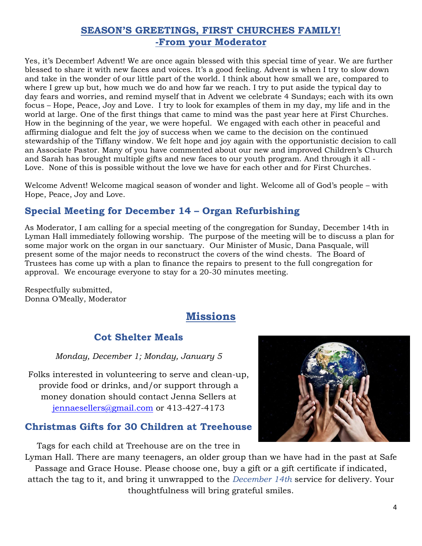# **SEASON'S GREETINGS, FIRST CHURCHES FAMILY! -From your Moderator**

Yes, it's December! Advent! We are once again blessed with this special time of year. We are further blessed to share it with new faces and voices. It's a good feeling. Advent is when I try to slow down and take in the wonder of our little part of the world. I think about how small we are, compared to where I grew up but, how much we do and how far we reach. I try to put aside the typical day to day fears and worries, and remind myself that in Advent we celebrate 4 Sundays; each with its own focus – Hope, Peace, Joy and Love. I try to look for examples of them in my day, my life and in the world at large. One of the first things that came to mind was the past year here at First Churches. How in the beginning of the year, we were hopeful. We engaged with each other in peaceful and affirming dialogue and felt the joy of success when we came to the decision on the continued stewardship of the Tiffany window. We felt hope and joy again with the opportunistic decision to call an Associate Pastor. Many of you have commented about our new and improved Children's Church and Sarah has brought multiple gifts and new faces to our youth program. And through it all - Love. None of this is possible without the love we have for each other and for First Churches.

Welcome Advent! Welcome magical season of wonder and light. Welcome all of God's people – with Hope, Peace, Joy and Love.

# **Special Meeting for December 14 – Organ Refurbishing**

As Moderator, I am calling for a special meeting of the congregation for Sunday, December 14th in Lyman Hall immediately following worship. The purpose of the meeting will be to discuss a plan for some major work on the organ in our sanctuary. Our Minister of Music, Dana Pasquale, will present some of the major needs to reconstruct the covers of the wind chests. The Board of Trustees has come up with a plan to finance the repairs to present to the full congregation for approval. We encourage everyone to stay for a 20-30 minutes meeting.

Respectfully submitted, Donna O'Meally, Moderator

# **Missions**

# **Cot Shelter Meals**

*Monday, December 1; Monday, January 5*

Folks interested in volunteering to serve and clean-up, provide food or drinks, and/or support through a money donation should contact Jenna Sellers at [jennaesellers@gmail.com](mailto:jennaesellers@gmail.com) or 413-427-4173

# **Christmas Gifts for 30 Children at Treehouse**

Tags for each child at Treehouse are on the tree in

Lyman Hall. There are many teenagers, an older group than we have had in the past at Safe Passage and Grace House. Please choose one, buy a gift or a gift certificate if indicated, attach the tag to it, and bring it unwrapped to the *December 14th* service for delivery. Your thoughtfulness will bring grateful smiles.

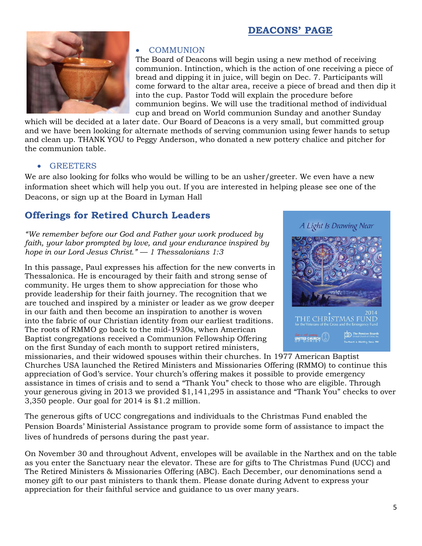## **DEACONS' PAGE**



#### COMMUNION

The Board of Deacons will begin using a new method of receiving communion. Intinction, which is the action of one receiving a piece of bread and dipping it in juice, will begin on Dec. 7. Participants will come forward to the altar area, receive a piece of bread and then dip it into the cup. Pastor Todd will explain the procedure before communion begins. We will use the traditional method of individual cup and bread on World communion Sunday and another Sunday

which will be decided at a later date. Our Board of Deacons is a very small, but committed group and we have been looking for alternate methods of serving communion using fewer hands to setup and clean up. THANK YOU to Peggy Anderson, who donated a new pottery chalice and pitcher for the communion table.

#### **GREETERS**

We are also looking for folks who would be willing to be an usher/greeter. We even have a new information sheet which will help you out. If you are interested in helping please see one of the Deacons, or sign up at the Board in Lyman Hall

## **Offerings for Retired Church Leaders**

*"We remember before our God and Father your work produced by faith, your labor prompted by love, and your endurance inspired by hope in our Lord Jesus Christ." — 1 Thessalonians 1:3*

In this passage, Paul expresses his affection for the new converts in Thessalonica. He is encouraged by their faith and strong sense of community. He urges them to show appreciation for those who provide leadership for their faith journey. The recognition that we are touched and inspired by a minister or leader as we grow deeper in our faith and then become an inspiration to another is woven into the fabric of our Christian identity from our earliest traditions. The roots of RMMO go back to the mid-1930s, when American Baptist congregations received a Communion Fellowship Offering on the first Sunday of each month to support retired ministers,



missionaries, and their widowed spouses within their churches. In 1977 American Baptist Churches USA launched the Retired Ministers and Missionaries Offering (RMMO) to continue this appreciation of God's service. Your church's offering makes it possible to provide emergency assistance in times of crisis and to send a "Thank You" check to those who are eligible. Through your generous giving in 2013 we provided \$1,141,295 in assistance and "Thank You" checks to over 3,350 people. Our goal for 2014 is \$1.2 million.

The generous gifts of UCC congregations and individuals to the Christmas Fund enabled the Pension Boards' Ministerial Assistance program to provide some form of assistance to impact the lives of hundreds of persons during the past year.

On November 30 and throughout Advent, envelopes will be available in the Narthex and on the table as you enter the Sanctuary near the elevator. These are for gifts to The Christmas Fund (UCC) and The Retired Ministers & Missionaries Offering (ABC). Each December, our denominations send a money gift to our past ministers to thank them. Please donate during Advent to express your appreciation for their faithful service and guidance to us over many years.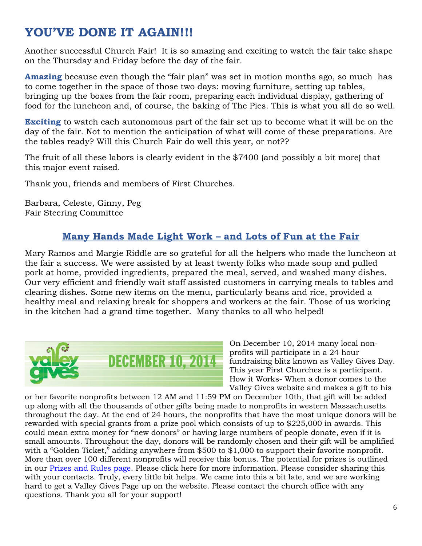# **YOU'VE DONE IT AGAIN!!!**

Another successful Church Fair! It is so amazing and exciting to watch the fair take shape on the Thursday and Friday before the day of the fair.

**Amazing** because even though the "fair plan" was set in motion months ago, so much has to come together in the space of those two days: moving furniture, setting up tables, bringing up the boxes from the fair room, preparing each individual display, gathering of food for the luncheon and, of course, the baking of The Pies. This is what you all do so well.

**Exciting** to watch each autonomous part of the fair set up to become what it will be on the day of the fair. Not to mention the anticipation of what will come of these preparations. Are the tables ready? Will this Church Fair do well this year, or not??

The fruit of all these labors is clearly evident in the \$7400 (and possibly a bit more) that this major event raised.

Thank you, friends and members of First Churches.

Barbara, Celeste, Ginny, Peg Fair Steering Committee

# **Many Hands Made Light Work – and Lots of Fun at the Fair**

Mary Ramos and Margie Riddle are so grateful for all the helpers who made the luncheon at the fair a success. We were assisted by at least twenty folks who made soup and pulled pork at home, provided ingredients, prepared the meal, served, and washed many dishes. Our very efficient and friendly wait staff assisted customers in carrying meals to tables and clearing dishes. Some new items on the menu, particularly beans and rice, provided a healthy meal and relaxing break for shoppers and workers at the fair. Those of us working in the kitchen had a grand time together. Many thanks to all who helped!



On December 10, 2014 many local nonprofits will participate in a 24 hour fundraising blitz known as Valley Gives Day. This year First Churches is a participant. How it Works- When a donor comes to the Valley Gives website and makes a gift to his

or her favorite nonprofits between 12 AM and 11:59 PM on December 10th, that gift will be added up along with all the thousands of other gifts being made to nonprofits in western Massachusetts throughout the day. At the end of 24 hours, the nonprofits that have the most unique donors will be rewarded with special grants from a prize pool which consists of up to \$225,000 in awards. This could mean extra money for "new donors" or having large numbers of people donate, even if it is small amounts. Throughout the day, donors will be randomly chosen and their gift will be amplified with a "Golden Ticket," adding anywhere from \$500 to \$1,000 to support their favorite nonprofit. More than over 100 different nonprofits will receive this bonus. The potential for prizes is outlined in our [Prizes and Rules page.](http://valleygives.razoo.com/giving_events/VG14/rules) Please click here for more information. Please consider sharing this with your contacts. Truly, every little bit helps. We came into this a bit late, and we are working hard to get a Valley Gives Page up on the website. Please contact the church office with any questions. Thank you all for your support!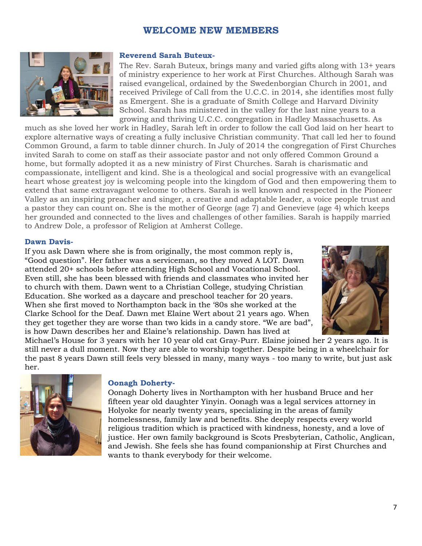#### **WELCOME NEW MEMBERS**



#### **Reverend Sarah Buteux-**

The Rev. Sarah Buteux, brings many and varied gifts along with 13+ years of ministry experience to her work at First Churches. Although Sarah was raised evangelical, ordained by the Swedenborgian Church in 2001, and received Privilege of Call from the U.C.C. in 2014, she identifies most fully as Emergent. She is a graduate of Smith College and Harvard Divinity School. Sarah has ministered in the valley for the last nine years to a growing and thriving U.C.C. congregation in Hadley Massachusetts. As

much as she loved her work in Hadley, Sarah left in order to follow the call God laid on her heart to explore alternative ways of creating a fully inclusive Christian community. That call led her to found Common Ground, a farm to table dinner church. In July of 2014 the congregation of First Churches invited Sarah to come on staff as their associate pastor and not only offered Common Ground a home, but formally adopted it as a new ministry of First Churches. Sarah is charismatic and compassionate, intelligent and kind. She is a theological and social progressive with an evangelical heart whose greatest joy is welcoming people into the kingdom of God and then empowering them to extend that same extravagant welcome to others. Sarah is well known and respected in the Pioneer Valley as an inspiring preacher and singer, a creative and adaptable leader, a voice people trust and a pastor they can count on. She is the mother of George (age 7) and Genevieve (age 4) which keeps her grounded and connected to the lives and challenges of other families. Sarah is happily married to Andrew Dole, a professor of Religion at Amherst College.

#### **Dawn Davis-**

If you ask Dawn where she is from originally, the most common reply is, "Good question". Her father was a serviceman, so they moved A LOT. Dawn attended 20+ schools before attending High School and Vocational School. Even still, she has been blessed with friends and classmates who invited her to church with them. Dawn went to a Christian College, studying Christian Education. She worked as a daycare and preschool teacher for 20 years. When she first moved to Northampton back in the '80s she worked at the Clarke School for the Deaf. Dawn met Elaine Wert about 21 years ago. When they get together they are worse than two kids in a candy store. "We are bad", is how Dawn describes her and Elaine's relationship. Dawn has lived at



Michael's House for 3 years with her 10 year old cat Gray-Purr. Elaine joined her 2 years ago. It is still never a dull moment. Now they are able to worship together. Despite being in a wheelchair for the past 8 years Dawn still feels very blessed in many, many ways - too many to write, but just ask her.



#### **Oonagh Doherty-**

Oonagh Doherty lives in Northampton with her husband Bruce and her fifteen year old daughter Yinyin. Oonagh was a legal services attorney in Holyoke for nearly twenty years, specializing in the areas of family homelessness, family law and benefits. She deeply respects every world religious tradition which is practiced with kindness, honesty, and a love of justice. Her own family background is Scots Presbyterian, Catholic, Anglican, and Jewish. She feels she has found companionship at First Churches and wants to thank everybody for their welcome.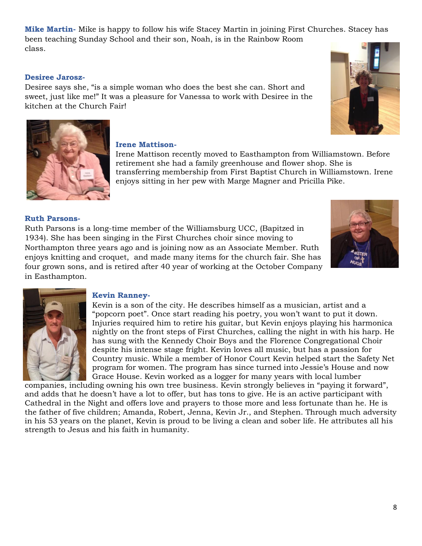**Mike Martin-** Mike is happy to follow his wife Stacey Martin in joining First Churches. Stacey has been teaching Sunday School and their son, Noah, is in the Rainbow Room class.

#### **Desiree Jarosz-**

Desiree says she, "is a simple woman who does the best she can. Short and sweet, just like me!" It was a pleasure for Vanessa to work with Desiree in the kitchen at the Church Fair!





#### **Irene Mattison-**

Irene Mattison recently moved to Easthampton from Williamstown. Before retirement she had a family greenhouse and flower shop. She is transferring membership from First Baptist Church in Williamstown. Irene enjoys sitting in her pew with Marge Magner and Pricilla Pike.

#### **Ruth Parsons-**

Ruth Parsons is a long-time member of the Williamsburg UCC, (Bapitzed in 1934). She has been singing in the First Churches choir since moving to Northampton three years ago and is joining now as an Associate Member. Ruth enjoys knitting and croquet, and made many items for the church fair. She has four grown sons, and is retired after 40 year of working at the October Company in Easthampton.





#### **Kevin Ranney-**

Kevin is a son of the city. He describes himself as a musician, artist and a "popcorn poet". Once start reading his poetry, you won't want to put it down. Injuries required him to retire his guitar, but Kevin enjoys playing his harmonica nightly on the front steps of First Churches, calling the night in with his harp. He has sung with the Kennedy Choir Boys and the Florence Congregational Choir despite his intense stage fright. Kevin loves all music, but has a passion for Country music. While a member of Honor Court Kevin helped start the Safety Net program for women. The program has since turned into Jessie's House and now Grace House. Kevin worked as a logger for many years with local lumber

companies, including owning his own tree business. Kevin strongly believes in "paying it forward", and adds that he doesn't have a lot to offer, but has tons to give. He is an active participant with Cathedral in the Night and offers love and prayers to those more and less fortunate than he. He is the father of five children; Amanda, Robert, Jenna, Kevin Jr., and Stephen. Through much adversity in his 53 years on the planet, Kevin is proud to be living a clean and sober life. He attributes all his strength to Jesus and his faith in humanity.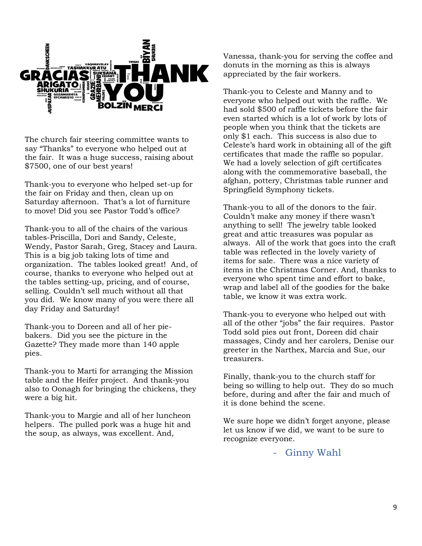

The church fair steering committee wants to say "Thanks" to everyone who helped out at the fair. It was a huge success, raising about \$7500, one of our best years!

Thank-you to everyone who helped set-up for the fair on Friday and then, clean up on Saturday afternoon. That's a lot of furniture to move! Did you see Pastor Todd's office?

Thank-you to all of the chairs of the various tables-Priscilla, Dori and Sandy, Celeste, Wendy, Pastor Sarah, Greg, Stacey and Laura. This is a big job taking lots of time and organization. The tables looked great! And, of course, thanks to everyone who helped out at the tables setting-up, pricing, and of course, selling. Couldn't sell much without all that you did. We know many of you were there all day Friday and Saturday!

Thank-you to Doreen and all of her piebakers. Did you see the picture in the Gazette? They made more than 140 apple pies.

Thank-you to Marti for arranging the Mission table and the Heifer project. And thank-you also to Oonagh for bringing the chickens, they were a big hit.

Thank-you to Margie and all of her luncheon helpers. The pulled pork was a huge hit and the soup, as always, was excellent. And,

Vanessa, thank-you for serving the coffee and donuts in the morning as this is always appreciated by the fair workers.

Thank-you to Celeste and Manny and to everyone who helped out with the raffle. We had sold \$500 of raffle tickets before the fair even started which is a lot of work by lots of people when you think that the tickets are only \$1 each. This success is also due to Celeste's hard work in obtaining all of the gift certificates that made the raffle so popular. We had a lovely selection of gift certificates along with the commemorative baseball, the afghan, pottery, Christmas table runner and Springfield Symphony tickets.

Thank-you to all of the donors to the fair. Couldn't make any money if there wasn't anything to sell! The jewelry table looked great and attic treasures was popular as always. All of the work that goes into the craft table was reflected in the lovely variety of items for sale. There was a nice variety of items in the Christmas Corner. And, thanks to everyone who spent time and effort to bake, wrap and label all of the goodies for the bake table, we know it was extra work.

Thank-you to everyone who helped out with all of the other "jobs" the fair requires. Pastor Todd sold pies out front, Doreen did chair massages, Cindy and her carolers, Denise our greeter in the Narthex, Marcia and Sue, our treasurers.

Finally, thank-you to the church staff for being so willing to help out. They do so much before, during and after the fair and much of it is done behind the scene.

We sure hope we didn't forget anyone, please let us know if we did, we want to be sure to recognize everyone.

Ginny Wahl